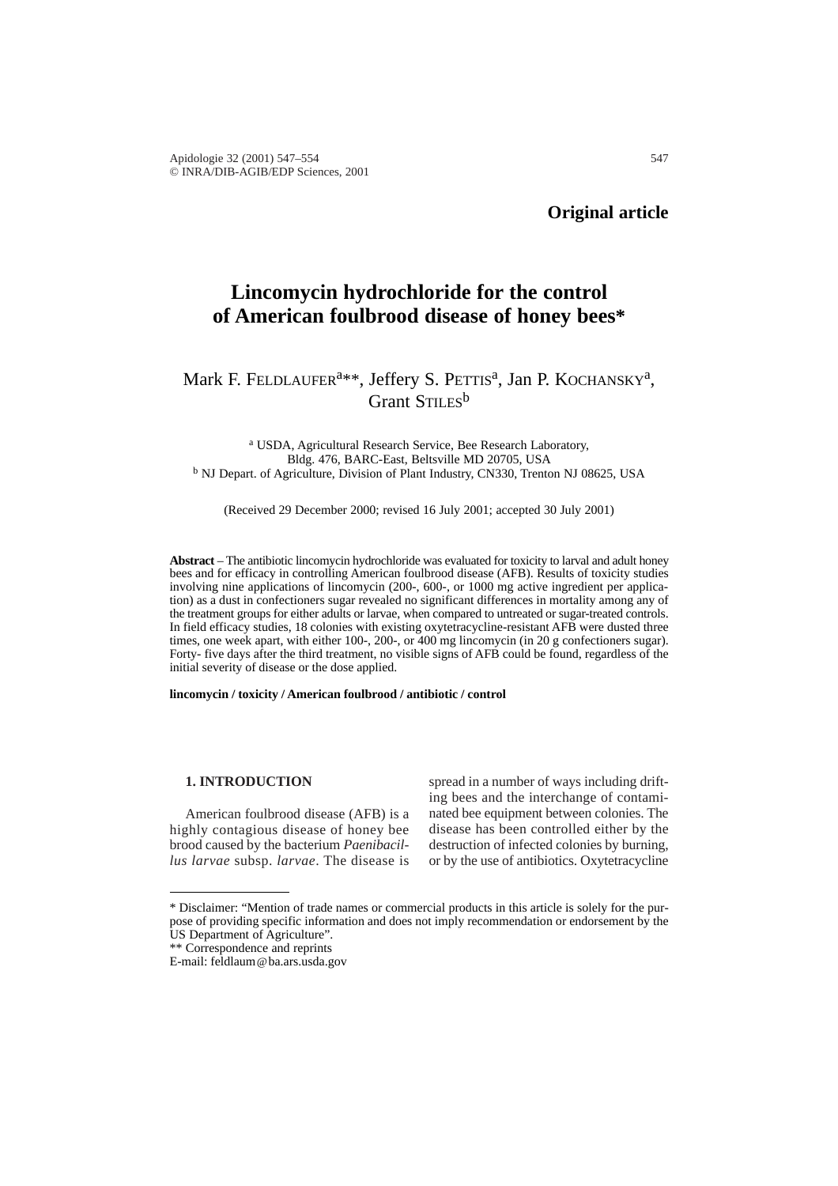# **Lincomycin hydrochloride for the control of American foulbrood disease of honey bees\***

## Mark F. FELDLAUFER<sup>a\*\*</sup>, Jeffery S. PETTIS<sup>a</sup>, Jan P. KOCHANSKY<sup>a</sup>, Grant STILES<sup>b</sup>

<sup>a</sup> USDA, Agricultural Research Service, Bee Research Laboratory, Bldg. 476, BARC-East, Beltsville MD 20705, USA <sup>b</sup> NJ Depart. of Agriculture, Division of Plant Industry, CN330, Trenton NJ 08625, USA

(Received 29 December 2000; revised 16 July 2001; accepted 30 July 2001)

**Abstract** – The antibiotic lincomycin hydrochloride was evaluated for toxicity to larval and adult honey bees and for efficacy in controlling American foulbrood disease (AFB). Results of toxicity studies involving nine applications of lincomycin (200-, 600-, or 1000 mg active ingredient per application) as a dust in confectioners sugar revealed no significant differences in mortality among any of the treatment groups for either adults or larvae, when compared to untreated or sugar-treated controls. In field efficacy studies, 18 colonies with existing oxytetracycline-resistant AFB were dusted three times, one week apart, with either 100-, 200-, or 400 mg lincomycin (in 20 g confectioners sugar). Forty- five days after the third treatment, no visible signs of AFB could be found, regardless of the initial severity of disease or the dose applied.

**lincomycin / toxicity / American foulbrood / antibiotic / control** 

#### **1. INTRODUCTION**

American foulbrood disease (AFB) is a highly contagious disease of honey bee brood caused by the bacterium *Paenibacillus larvae* subsp. *larvae*. The disease is

spread in a number of ways including drifting bees and the interchange of contaminated bee equipment between colonies. The disease has been controlled either by the destruction of infected colonies by burning, or by the use of antibiotics. Oxytetracycline

\*\* Correspondence and reprints

<sup>\*</sup> Disclaimer: "Mention of trade names or commercial products in this article is solely for the purpose of providing specific information and does not imply recommendation or endorsement by the US Department of Agriculture".

E-mail: feldlaum@ba.ars.usda.gov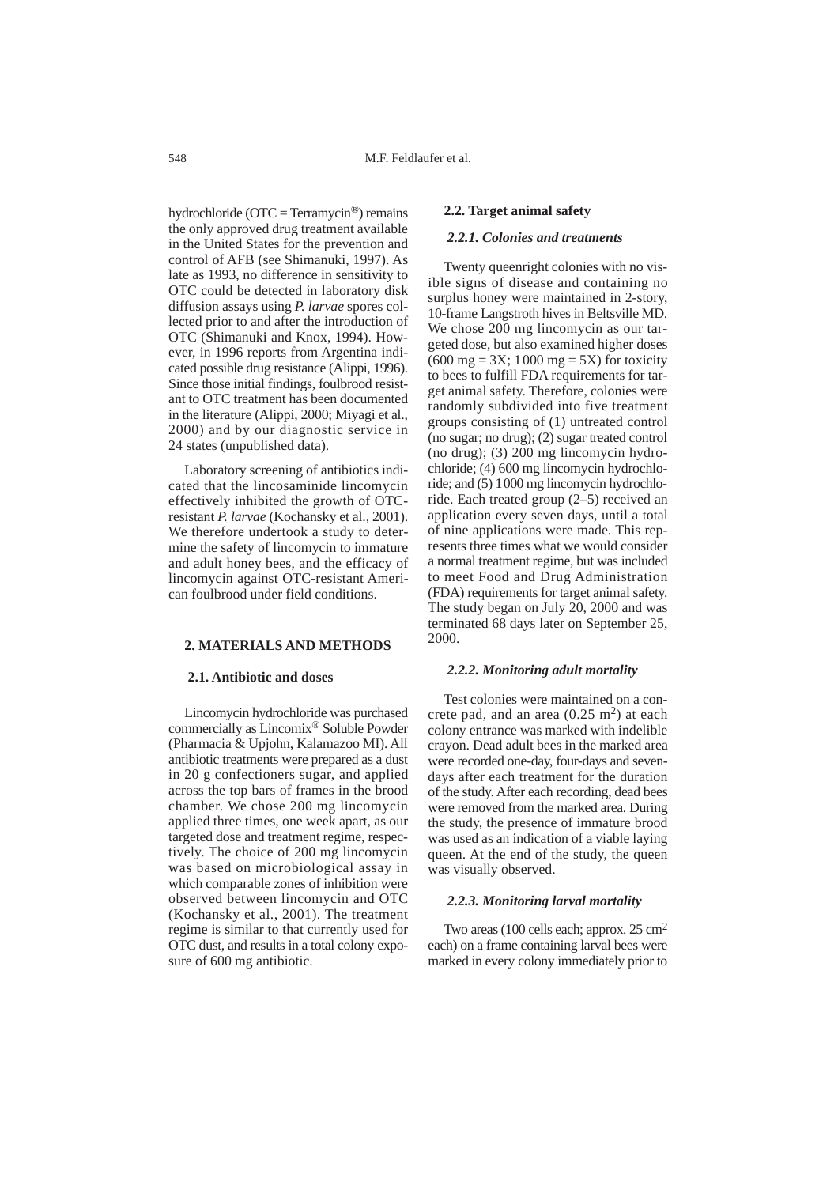hydrochloride ( $\text{OTC} = \text{Term}$ ycin®) remains the only approved drug treatment available in the United States for the prevention and control of AFB (see Shimanuki, 1997). As late as 1993, no difference in sensitivity to OTC could be detected in laboratory disk diffusion assays using *P. larvae* spores collected prior to and after the introduction of OTC (Shimanuki and Knox, 1994). However, in 1996 reports from Argentina indicated possible drug resistance (Alippi, 1996). Since those initial findings, foulbrood resistant to OTC treatment has been documented in the literature (Alippi, 2000; Miyagi et al., 2000) and by our diagnostic service in 24 states (unpublished data).

Laboratory screening of antibiotics indicated that the lincosaminide lincomycin effectively inhibited the growth of OTCresistant *P. larvae* (Kochansky et al., 2001). We therefore undertook a study to determine the safety of lincomycin to immature and adult honey bees, and the efficacy of lincomycin against OTC-resistant American foulbrood under field conditions.

## **2. MATERIALS AND METHODS**

## **2.1. Antibiotic and doses**

Lincomycin hydrochloride was purchased commercially as Lincomix® Soluble Powder (Pharmacia & Upjohn, Kalamazoo MI). All antibiotic treatments were prepared as a dust in 20 g confectioners sugar, and applied across the top bars of frames in the brood chamber. We chose 200 mg lincomycin applied three times, one week apart, as our targeted dose and treatment regime, respectively. The choice of 200 mg lincomycin was based on microbiological assay in which comparable zones of inhibition were observed between lincomycin and OTC (Kochansky et al., 2001). The treatment regime is similar to that currently used for OTC dust, and results in a total colony exposure of 600 mg antibiotic.

#### **2.2. Target animal safety**

## *2.2.1. Colonies and treatments*

Twenty queenright colonies with no visible signs of disease and containing no surplus honey were maintained in 2-story, 10-frame Langstroth hives in Beltsville MD. We chose 200 mg lincomycin as our targeted dose, but also examined higher doses  $(600 \text{ mg} = 3X; 1000 \text{ mg} = 5X)$  for toxicity to bees to fulfill FDA requirements for target animal safety. Therefore, colonies were randomly subdivided into five treatment groups consisting of (1) untreated control (no sugar; no drug); (2) sugar treated control (no drug); (3) 200 mg lincomycin hydrochloride; (4) 600 mg lincomycin hydrochloride; and (5) 1000 mg lincomycin hydrochloride. Each treated group (2–5) received an application every seven days, until a total of nine applications were made. This represents three times what we would consider a normal treatment regime, but was included to meet Food and Drug Administration (FDA) requirements for target animal safety. The study began on July 20, 2000 and was terminated 68 days later on September 25, 2000.

## *2.2.2. Monitoring adult mortality*

Test colonies were maintained on a concrete pad, and an area  $(0.25 \text{ m}^2)$  at each colony entrance was marked with indelible crayon. Dead adult bees in the marked area were recorded one-day, four-days and sevendays after each treatment for the duration of the study. After each recording, dead bees were removed from the marked area. During the study, the presence of immature brood was used as an indication of a viable laying queen. At the end of the study, the queen was visually observed.

## *2.2.3. Monitoring larval mortality*

Two areas (100 cells each; approx. 25 cm<sup>2</sup> each) on a frame containing larval bees were marked in every colony immediately prior to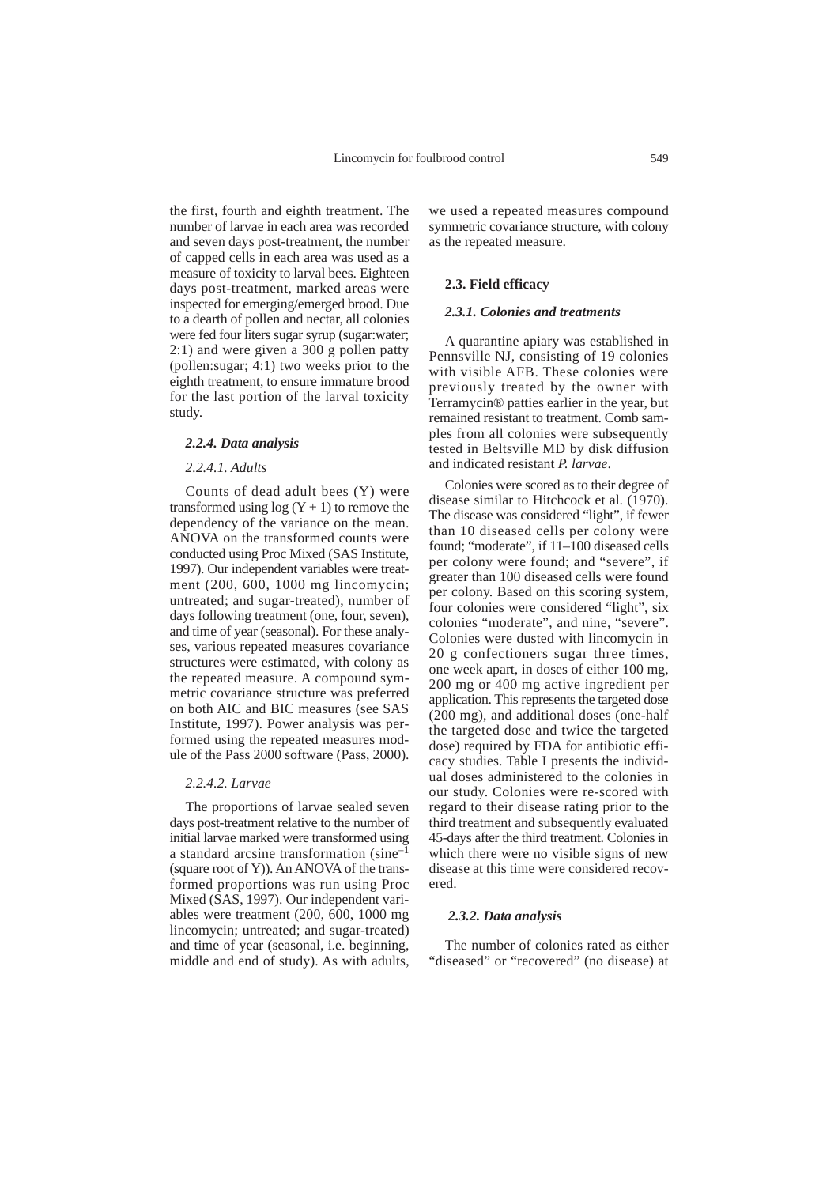the first, fourth and eighth treatment. The number of larvae in each area was recorded and seven days post-treatment, the number of capped cells in each area was used as a measure of toxicity to larval bees. Eighteen days post-treatment, marked areas were inspected for emerging/emerged brood. Due to a dearth of pollen and nectar, all colonies were fed four liters sugar syrup (sugar:water; 2:1) and were given a 300 g pollen patty (pollen:sugar; 4:1) two weeks prior to the eighth treatment, to ensure immature brood for the last portion of the larval toxicity study.

#### *2.2.4. Data analysis*

#### *2.2.4.1. Adults*

Counts of dead adult bees (Y) were transformed using  $log(Y + 1)$  to remove the dependency of the variance on the mean. ANOVA on the transformed counts were conducted using Proc Mixed (SAS Institute, 1997). Our independent variables were treatment (200, 600, 1000 mg lincomycin; untreated; and sugar-treated), number of days following treatment (one, four, seven), and time of year (seasonal). For these analyses, various repeated measures covariance structures were estimated, with colony as the repeated measure. A compound symmetric covariance structure was preferred on both AIC and BIC measures (see SAS Institute, 1997). Power analysis was performed using the repeated measures module of the Pass 2000 software (Pass, 2000).

#### *2.2.4.2. Larvae*

The proportions of larvae sealed seven days post-treatment relative to the number of initial larvae marked were transformed using a standard arcsine transformation (sine–1 (square root of Y)). An ANOVA of the transformed proportions was run using Proc Mixed (SAS, 1997). Our independent variables were treatment (200, 600, 1000 mg lincomycin; untreated; and sugar-treated) and time of year (seasonal, i.e. beginning, middle and end of study). As with adults,

we used a repeated measures compound symmetric covariance structure, with colony as the repeated measure.

#### **2.3. Field efficacy**

#### *2.3.1. Colonies and treatments*

A quarantine apiary was established in Pennsville NJ, consisting of 19 colonies with visible AFB. These colonies were previously treated by the owner with Terramycin® patties earlier in the year, but remained resistant to treatment. Comb samples from all colonies were subsequently tested in Beltsville MD by disk diffusion and indicated resistant *P. larvae*.

Colonies were scored as to their degree of disease similar to Hitchcock et al. (1970). The disease was considered "light", if fewer than 10 diseased cells per colony were found; "moderate", if 11–100 diseased cells per colony were found; and "severe", if greater than 100 diseased cells were found per colony. Based on this scoring system, four colonies were considered "light", six colonies "moderate", and nine, "severe". Colonies were dusted with lincomycin in 20 g confectioners sugar three times, one week apart, in doses of either 100 mg, 200 mg or 400 mg active ingredient per application. This represents the targeted dose (200 mg), and additional doses (one-half the targeted dose and twice the targeted dose) required by FDA for antibiotic efficacy studies. Table I presents the individual doses administered to the colonies in our study. Colonies were re-scored with regard to their disease rating prior to the third treatment and subsequently evaluated 45-days after the third treatment. Colonies in which there were no visible signs of new disease at this time were considered recovered.

## *2.3.2. Data analysis*

The number of colonies rated as either "diseased" or "recovered" (no disease) at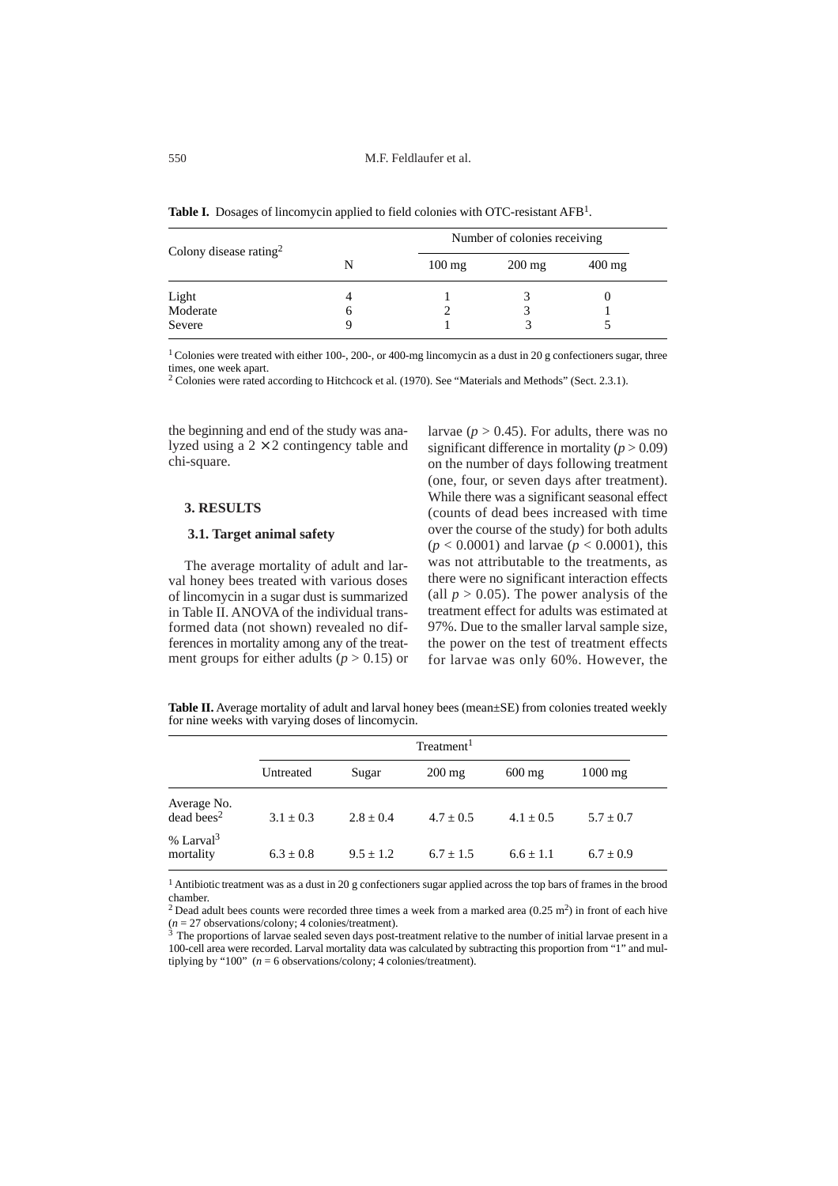Table I. Dosages of lincomycin applied to field colonies with OTC-resistant AFB<sup>1</sup>.

| Colony disease rating <sup>2</sup> | Number of colonies receiving |                     |                     |
|------------------------------------|------------------------------|---------------------|---------------------|
|                                    | $100 \text{ mg}$             | $200 \,\mathrm{mg}$ | $400 \,\mathrm{mg}$ |
|                                    |                              |                     |                     |
| Light<br>Moderate                  |                              |                     |                     |
| Severe                             |                              |                     |                     |

<sup>1</sup> Colonies were treated with either 100-, 200-, or 400-mg lincomycin as a dust in 20 g confectioners sugar, three times, one week apart.

<sup>2</sup> Colonies were rated according to Hitchcock et al. (1970). See "Materials and Methods" (Sect. 2.3.1).

the beginning and end of the study was analyzed using a  $2 \times 2$  contingency table and chi-square.

## **3. RESULTS**

#### **3.1. Target animal safety**

The average mortality of adult and larval honey bees treated with various doses of lincomycin in a sugar dust is summarized in Table II. ANOVA of the individual transformed data (not shown) revealed no differences in mortality among any of the treatment groups for either adults ( $p > 0.15$ ) or larvae ( $p > 0.45$ ). For adults, there was no significant difference in mortality  $(p > 0.09)$ on the number of days following treatment (one, four, or seven days after treatment). While there was a significant seasonal effect (counts of dead bees increased with time over the course of the study) for both adults (*p* < 0.0001) and larvae (*p* < 0.0001), this was not attributable to the treatments, as there were no significant interaction effects (all  $p > 0.05$ ). The power analysis of the treatment effect for adults was estimated at 97%. Due to the smaller larval sample size, the power on the test of treatment effects for larvae was only 60%. However, the

**Table II.** Average mortality of adult and larval honey bees (mean±SE) from colonies treated weekly for nine weeks with varying doses of lincomycin.

|                                         | Treatment <sup>1</sup> |             |                  |                     |             |  |
|-----------------------------------------|------------------------|-------------|------------------|---------------------|-------------|--|
|                                         | Untreated              | Sugar       | $200 \text{ mg}$ | $600 \,\mathrm{mg}$ | $1000$ mg   |  |
| Average No.<br>$dead$ bees <sup>2</sup> | $3.1 + 0.3$            | $2.8 + 0.4$ | $4.7 + 0.5$      | $4.1 + 0.5$         | $5.7 + 0.7$ |  |
| % Larval <sup>3</sup><br>mortality      | $6.3 + 0.8$            | $9.5 + 1.2$ | $6.7 + 1.5$      | $6.6 + 1.1$         | $6.7 + 0.9$ |  |

<sup>1</sup> Antibiotic treatment was as a dust in 20 g confectioners sugar applied across the top bars of frames in the brood chamber.

<sup>2</sup> Dead adult bees counts were recorded three times a week from a marked area  $(0.25 \text{ m}^2)$  in front of each hive  $(n = 27$  observations/colony; 4 colonies/treatment).<br><sup>3</sup> The proportions of larvae sealed seven days post-treatment relative to the number of initial larvae present in a

100-cell area were recorded. Larval mortality data was calculated by subtracting this proportion from "1" and multiplying by "100" (*n* = 6 observations/colony; 4 colonies/treatment).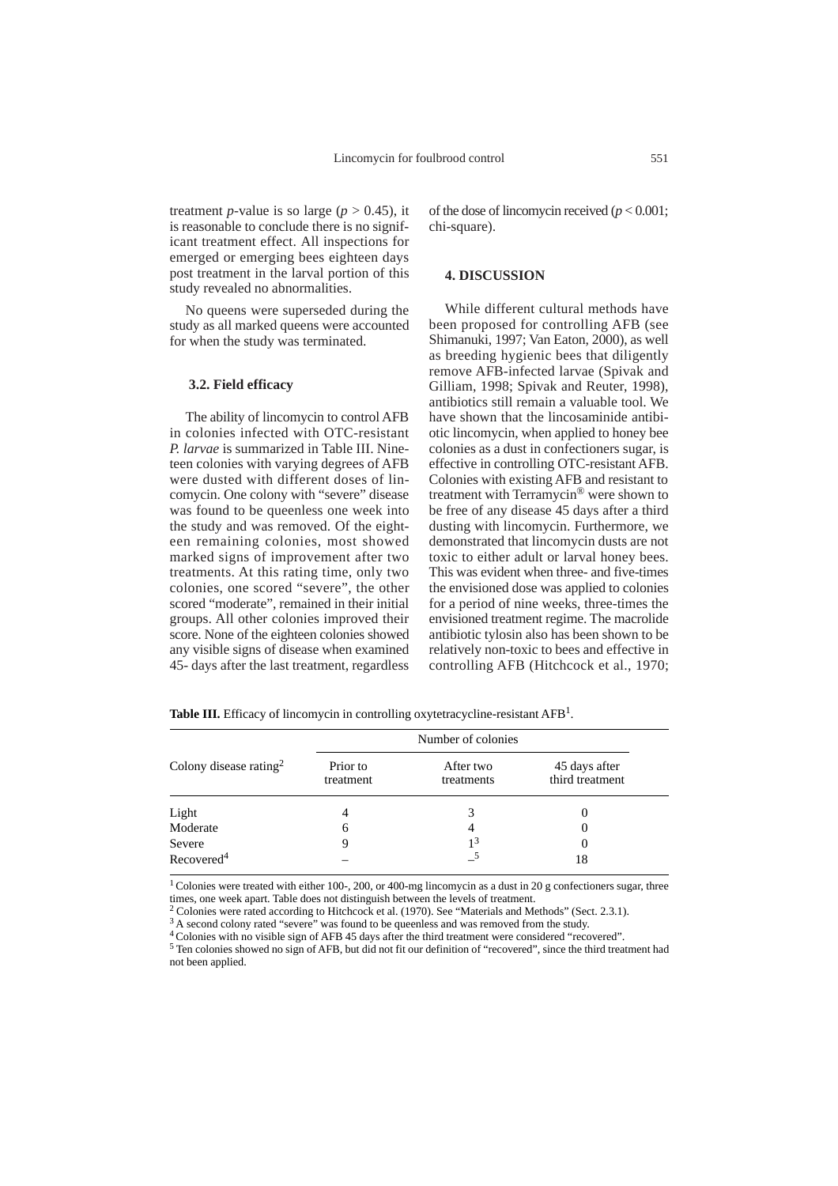treatment *p*-value is so large ( $p > 0.45$ ), it is reasonable to conclude there is no significant treatment effect. All inspections for emerged or emerging bees eighteen days post treatment in the larval portion of this study revealed no abnormalities.

No queens were superseded during the study as all marked queens were accounted for when the study was terminated.

#### **3.2. Field efficacy**

The ability of lincomycin to control AFB in colonies infected with OTC-resistant *P. larvae* is summarized in Table III. Nineteen colonies with varying degrees of AFB were dusted with different doses of lincomycin. One colony with "severe" disease was found to be queenless one week into the study and was removed. Of the eighteen remaining colonies, most showed marked signs of improvement after two treatments. At this rating time, only two colonies, one scored "severe", the other scored "moderate", remained in their initial groups. All other colonies improved their score. None of the eighteen colonies showed any visible signs of disease when examined 45- days after the last treatment, regardless of the dose of lincomycin received (*p* < 0.001; chi-square).

#### **4. DISCUSSION**

While different cultural methods have been proposed for controlling AFB (see Shimanuki, 1997; Van Eaton, 2000), as well as breeding hygienic bees that diligently remove AFB-infected larvae (Spivak and Gilliam, 1998; Spivak and Reuter, 1998), antibiotics still remain a valuable tool. We have shown that the lincosaminide antibiotic lincomycin, when applied to honey bee colonies as a dust in confectioners sugar, is effective in controlling OTC-resistant AFB. Colonies with existing AFB and resistant to treatment with Terramycin® were shown to be free of any disease 45 days after a third dusting with lincomycin. Furthermore, we demonstrated that lincomycin dusts are not toxic to either adult or larval honey bees. This was evident when three- and five-times the envisioned dose was applied to colonies for a period of nine weeks, three-times the envisioned treatment regime. The macrolide antibiotic tylosin also has been shown to be relatively non-toxic to bees and effective in controlling AFB (Hitchcock et al., 1970;

Table III. Efficacy of lincomycin in controlling oxytetracycline-resistant AFB<sup>1</sup>.

| Colony disease rating <sup>2</sup> |                       | Number of colonies      |                                  |  |
|------------------------------------|-----------------------|-------------------------|----------------------------------|--|
|                                    | Prior to<br>treatment | After two<br>treatments | 45 days after<br>third treatment |  |
| Light                              | 4                     |                         |                                  |  |
| Moderate                           | 6                     | 4                       | 0                                |  |
| Severe                             | 9                     | 1 <sup>3</sup>          | $\theta$                         |  |
| Recovered <sup>4</sup>             |                       |                         | 18                               |  |

<sup>1</sup> Colonies were treated with either 100-, 200, or 400-mg lincomycin as a dust in 20 g confectioners sugar, three times, one week apart. Table does not distinguish between the levels of treatment.

<sup>2</sup> Colonies were rated according to Hitchcock et al. (1970). See "Materials and Methods" (Sect. 2.3.1).

<sup>3</sup> A second colony rated "severe" was found to be queenless and was removed from the study.

4 Colonies with no visible sign of AFB 45 days after the third treatment were considered "recovered".

<sup>5</sup> Ten colonies showed no sign of AFB, but did not fit our definition of "recovered", since the third treatment had not been applied.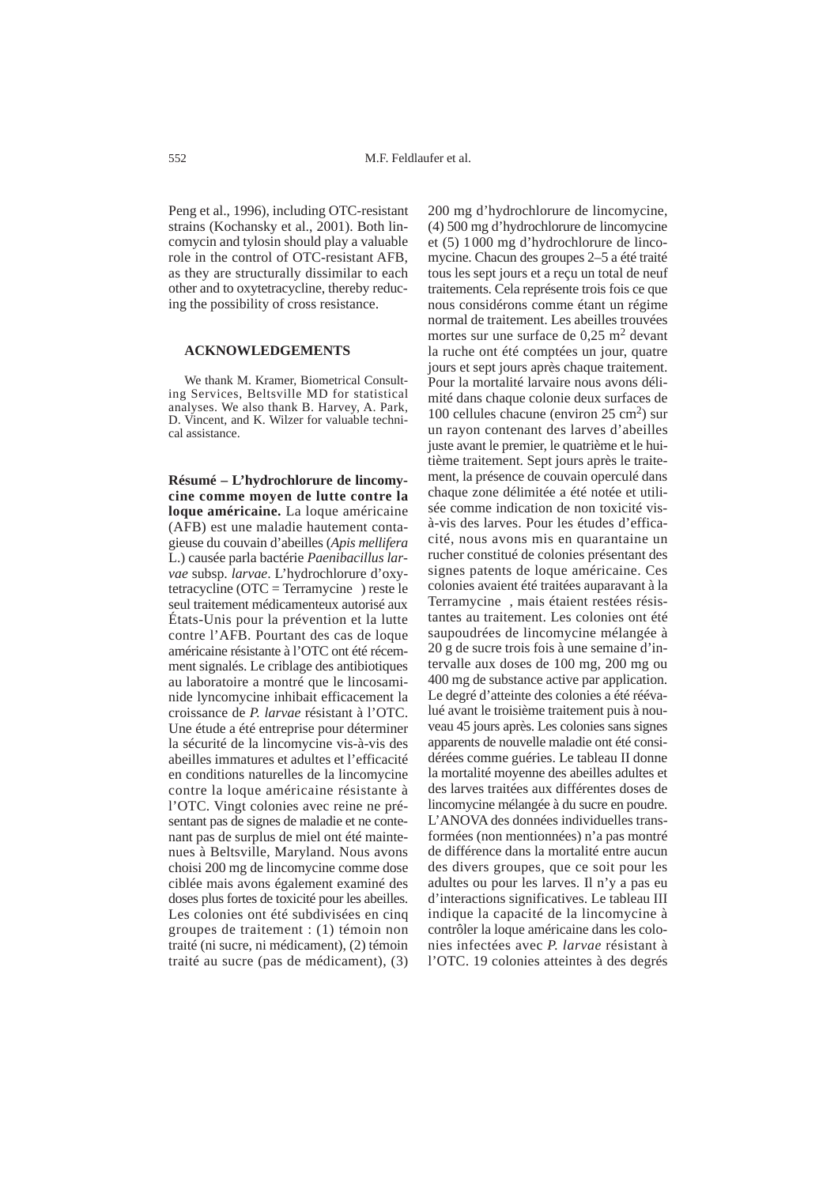Peng et al., 1996), including OTC-resistant strains (Kochansky et al., 2001). Both lincomycin and tylosin should play a valuable role in the control of OTC-resistant AFB, as they are structurally dissimilar to each other and to oxytetracycline, thereby reducing the possibility of cross resistance.

#### **ACKNOWLEDGEMENTS**

We thank M. Kramer, Biometrical Consulting Services, Beltsville MD for statistical analyses. We also thank B. Harvey, A. Park, D. Vincent, and K. Wilzer for valuable technical assistance.

**Résumé – L'hydrochlorure de lincomycine comme moyen de lutte contre la loque américaine.** La loque américaine (AFB) est une maladie hautement contagieuse du couvain d'abeilles (*Apis mellifera* L.) causée parla bactérie *Paenibacillus larvae* subsp. *larvae*. L'hydrochlorure d'oxytetracycline (OTC = Terramycine<sup>®</sup>) reste le seul traitement médicamenteux autorisé aux États-Unis pour la prévention et la lutte contre l'AFB. Pourtant des cas de loque américaine résistante à l'OTC ont été récemment signalés. Le criblage des antibiotiques au laboratoire a montré que le lincosaminide lyncomycine inhibait efficacement la croissance de *P. larvae* résistant à l'OTC. Une étude a été entreprise pour déterminer la sécurité de la lincomycine vis-à-vis des abeilles immatures et adultes et l'efficacité en conditions naturelles de la lincomycine contre la loque américaine résistante à l'OTC. Vingt colonies avec reine ne présentant pas de signes de maladie et ne contenant pas de surplus de miel ont été maintenues à Beltsville, Maryland. Nous avons choisi 200 mg de lincomycine comme dose ciblée mais avons également examiné des doses plus fortes de toxicité pour les abeilles. Les colonies ont été subdivisées en cinq groupes de traitement : (1) témoin non traité (ni sucre, ni médicament), (2) témoin traité au sucre (pas de médicament), (3)

200 mg d'hydrochlorure de lincomycine, (4) 500 mg d'hydrochlorure de lincomycine et (5) 1000 mg d'hydrochlorure de lincomycine. Chacun des groupes 2–5 a été traité tous les sept jours et a reçu un total de neuf traitements. Cela représente trois fois ce que nous considérons comme étant un régime normal de traitement. Les abeilles trouvées mortes sur une surface de  $0.25$  m<sup>2</sup> devant la ruche ont été comptées un jour, quatre jours et sept jours après chaque traitement. Pour la mortalité larvaire nous avons délimité dans chaque colonie deux surfaces de 100 cellules chacune (environ  $25 \text{ cm}^2$ ) sur un rayon contenant des larves d'abeilles juste avant le premier, le quatrième et le huitième traitement. Sept jours après le traitement, la présence de couvain operculé dans chaque zone délimitée a été notée et utilisée comme indication de non toxicité visà-vis des larves. Pour les études d'efficacité, nous avons mis en quarantaine un rucher constitué de colonies présentant des signes patents de loque américaine. Ces colonies avaient été traitées auparavant à la Terramycine®, mais étaient restées résistantes au traitement. Les colonies ont été saupoudrées de lincomycine mélangée à 20 g de sucre trois fois à une semaine d'intervalle aux doses de 100 mg, 200 mg ou 400 mg de substance active par application. Le degré d'atteinte des colonies a été réévalué avant le troisième traitement puis à nouveau 45 jours après. Les colonies sans signes apparents de nouvelle maladie ont été considérées comme guéries. Le tableau II donne la mortalité moyenne des abeilles adultes et des larves traitées aux différentes doses de lincomycine mélangée à du sucre en poudre. L'ANOVA des données individuelles transformées (non mentionnées) n'a pas montré de différence dans la mortalité entre aucun des divers groupes, que ce soit pour les adultes ou pour les larves. Il n'y a pas eu d'interactions significatives. Le tableau III indique la capacité de la lincomycine à contrôler la loque américaine dans les colonies infectées avec *P. larvae* résistant à l'OTC. 19 colonies atteintes à des degrés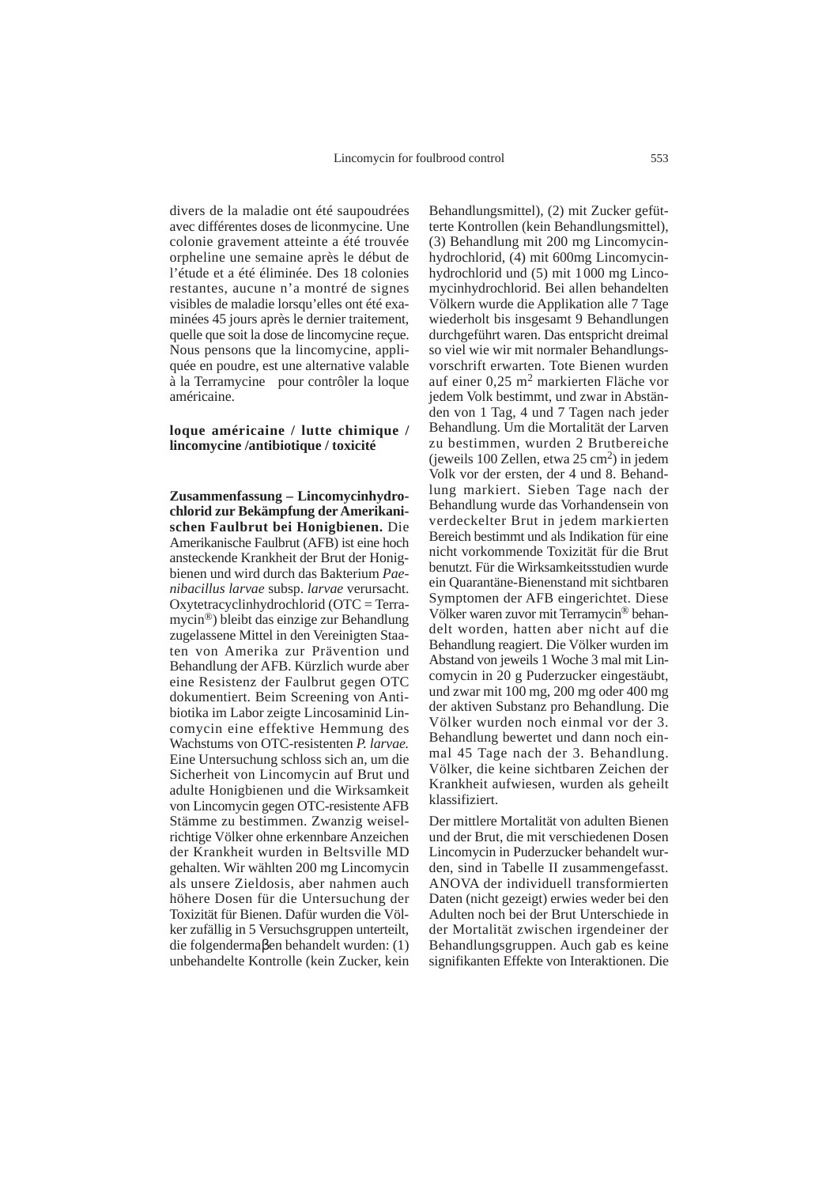divers de la maladie ont été saupoudrées avec différentes doses de liconmycine. Une colonie gravement atteinte a été trouvée orpheline une semaine après le début de l'étude et a été éliminée. Des 18 colonies restantes, aucune n'a montré de signes visibles de maladie lorsqu'elles ont été examinées 45 jours après le dernier traitement, quelle que soit la dose de lincomycine reçue. Nous pensons que la lincomycine, appliquée en poudre, est une alternative valable à la Terramycine<sup>®</sup> pour contrôler la loque américaine.

## **loque américaine / lutte chimique / lincomycine /antibiotique / toxicité**

**Zusammenfassung – Lincomycinhydrochlorid zur Bekämpfung der Amerikanischen Faulbrut bei Honigbienen.** Die Amerikanische Faulbrut (AFB) ist eine hoch ansteckende Krankheit der Brut der Honigbienen und wird durch das Bakterium *Paenibacillus larvae* subsp. *larvae* verursacht. Oxytetracyclinhydrochlorid (OTC = Terramycin®) bleibt das einzige zur Behandlung zugelassene Mittel in den Vereinigten Staaten von Amerika zur Prävention und Behandlung der AFB. Kürzlich wurde aber eine Resistenz der Faulbrut gegen OTC dokumentiert. Beim Screening von Antibiotika im Labor zeigte Lincosaminid Lincomycin eine effektive Hemmung des Wachstums von OTC-resistenten *P. larvae.* Eine Untersuchung schloss sich an, um die Sicherheit von Lincomycin auf Brut und adulte Honigbienen und die Wirksamkeit von Lincomycin gegen OTC-resistente AFB Stämme zu bestimmen. Zwanzig weiselrichtige Völker ohne erkennbare Anzeichen der Krankheit wurden in Beltsville MD gehalten. Wir wählten 200 mg Lincomycin als unsere Zieldosis, aber nahmen auch höhere Dosen für die Untersuchung der Toxizität für Bienen. Dafür wurden die Völker zufällig in 5 Versuchsgruppen unterteilt, die folgendermaβen behandelt wurden: (1) unbehandelte Kontrolle (kein Zucker, kein

Behandlungsmittel), (2) mit Zucker gefütterte Kontrollen (kein Behandlungsmittel), (3) Behandlung mit 200 mg Lincomycinhydrochlorid, (4) mit 600mg Lincomycinhydrochlorid und (5) mit 1000 mg Lincomycinhydrochlorid. Bei allen behandelten Völkern wurde die Applikation alle 7 Tage wiederholt bis insgesamt 9 Behandlungen durchgeführt waren. Das entspricht dreimal so viel wie wir mit normaler Behandlungsvorschrift erwarten. Tote Bienen wurden auf einer 0,25 m<sup>2</sup> markierten Fläche vor jedem Volk bestimmt, und zwar in Abständen von 1 Tag, 4 und 7 Tagen nach jeder Behandlung. Um die Mortalität der Larven zu bestimmen, wurden 2 Brutbereiche (jeweils 100 Zellen, etwa  $25 \text{ cm}^2$ ) in jedem Volk vor der ersten, der 4 und 8. Behandlung markiert. Sieben Tage nach der Behandlung wurde das Vorhandensein von verdeckelter Brut in jedem markierten Bereich bestimmt und als Indikation für eine nicht vorkommende Toxizität für die Brut benutzt. Für die Wirksamkeitsstudien wurde ein Quarantäne-Bienenstand mit sichtbaren Symptomen der AFB eingerichtet. Diese Völker waren zuvor mit Terramycin® behandelt worden, hatten aber nicht auf die Behandlung reagiert. Die Völker wurden im Abstand von jeweils 1 Woche 3 mal mit Lincomycin in 20 g Puderzucker eingestäubt, und zwar mit 100 mg, 200 mg oder 400 mg der aktiven Substanz pro Behandlung. Die Völker wurden noch einmal vor der 3. Behandlung bewertet und dann noch einmal 45 Tage nach der 3. Behandlung. Völker, die keine sichtbaren Zeichen der Krankheit aufwiesen, wurden als geheilt klassifiziert.

Der mittlere Mortalität von adulten Bienen und der Brut, die mit verschiedenen Dosen Lincomycin in Puderzucker behandelt wurden, sind in Tabelle II zusammengefasst. ANOVA der individuell transformierten Daten (nicht gezeigt) erwies weder bei den Adulten noch bei der Brut Unterschiede in der Mortalität zwischen irgendeiner der Behandlungsgruppen. Auch gab es keine signifikanten Effekte von Interaktionen. Die